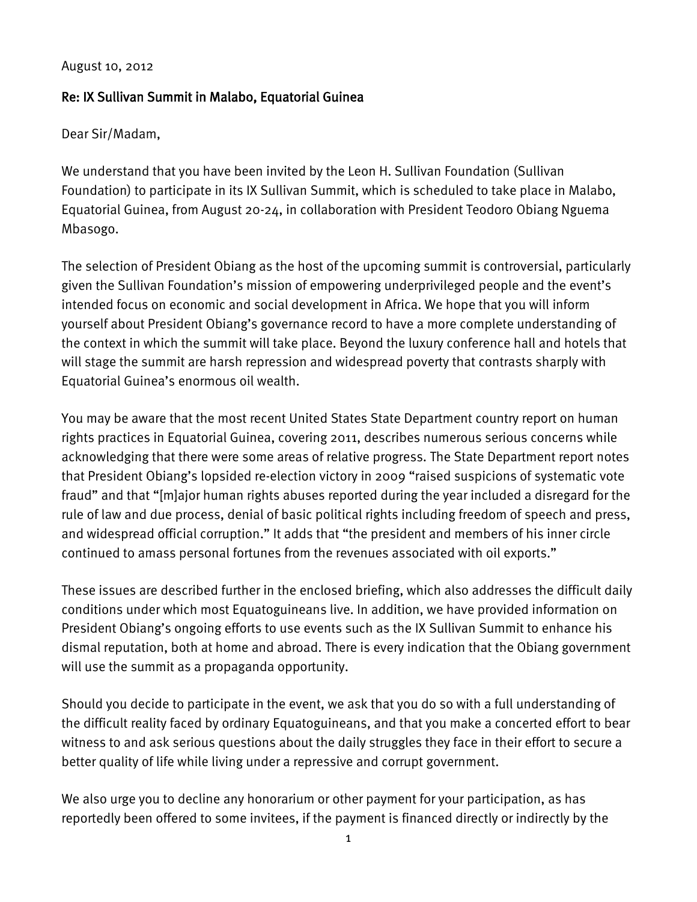## August 10, 2012

## Re: IX Sullivan Summit in Malabo, Equatorial Guinea

Dear Sir/Madam,

We understand that you have been invited by the Leon H. Sullivan Foundation (Sullivan Foundation) to participate in its IX Sullivan Summit, which is scheduled to take place in Malabo, Equatorial Guinea, from August 20-24, in collaboration with President Teodoro Obiang Nguema Mbasogo.

The selection of President Obiang as the host of the upcoming summit is controversial, particularly given the Sullivan Foundation's mission of empowering underprivileged people and the event's intended focus on economic and social development in Africa. We hope that you will inform yourself about President Obiang's governance record to have a more complete understanding of the context in which the summit will take place. Beyond the luxury conference hall and hotels that will stage the summit are harsh repression and widespread poverty that contrasts sharply with Equatorial Guinea's enormous oil wealth.

You may be aware that the most recent United States State Department country report on human rights practices in Equatorial Guinea, covering 2011, describes numerous serious concerns while acknowledging that there were some areas of relative progress. The State Department report notes that President Obiang's lopsided re-election victory in 2009 "raised suspicions of systematic vote fraud" and that "[m]ajor human rights abuses reported during the year included a disregard for the rule of law and due process, denial of basic political rights including freedom of speech and press, and widespread official corruption." It adds that "the president and members of his inner circle continued to amass personal fortunes from the revenues associated with oil exports."

These issues are described further in the enclosed briefing, which also addresses the difficult daily conditions under which most Equatoguineans live. In addition, we have provided information on President Obiang's ongoing efforts to use events such as the IX Sullivan Summit to enhance his dismal reputation, both at home and abroad. There is every indication that the Obiang government will use the summit as a propaganda opportunity.

Should you decide to participate in the event, we ask that you do so with a full understanding of the difficult reality faced by ordinary Equatoguineans, and that you make a concerted effort to bear witness to and ask serious questions about the daily struggles they face in their effort to secure a better quality of life while living under a repressive and corrupt government.

We also urge you to decline any honorarium or other payment for your participation, as has reportedly been offered to some invitees, if the payment is financed directly or indirectly by the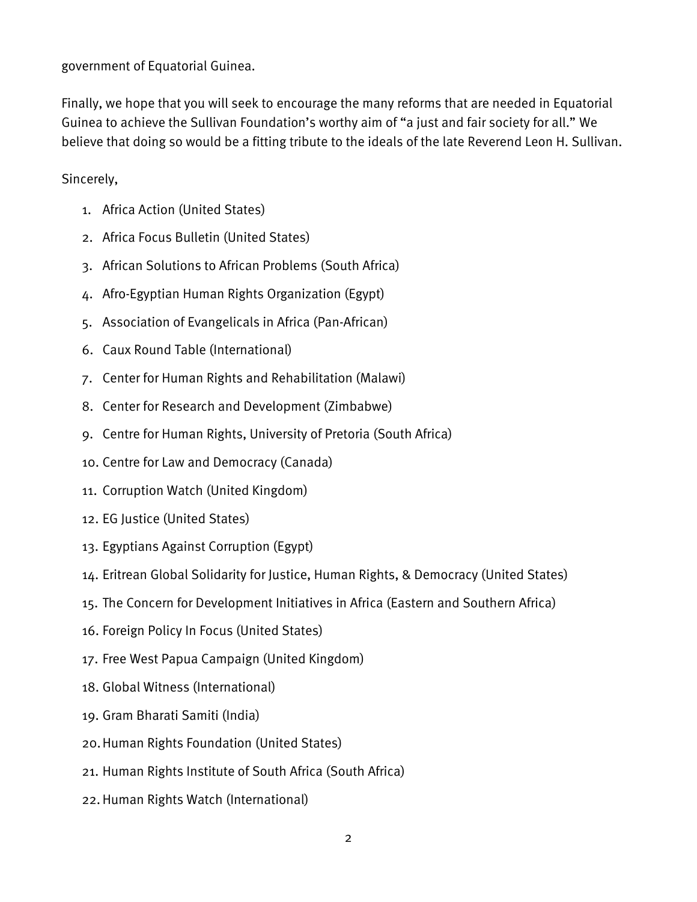government of Equatorial Guinea.

Finally, we hope that you will seek to encourage the many reforms that are needed in Equatorial Guinea to achieve the Sullivan Foundation's worthy aim of "a just and fair society for all." We believe that doing so would be a fitting tribute to the ideals of the late Reverend Leon H. Sullivan.

Sincerely,

- 1. Africa Action (United States)
- 2. Africa Focus Bulletin (United States)
- 3. African Solutions to African Problems (South Africa)
- 4. Afro-Egyptian Human Rights Organization (Egypt)
- 5. Association of Evangelicals in Africa (Pan-African)
- 6. Caux Round Table (International)
- 7. Center for Human Rights and Rehabilitation (Malawi)
- 8. Center for Research and Development (Zimbabwe)
- 9. Centre for Human Rights, University of Pretoria (South Africa)
- 10. Centre for Law and Democracy (Canada)
- 11. Corruption Watch (United Kingdom)
- 12. EG Justice (United States)
- 13. Egyptians Against Corruption (Egypt)
- 14. Eritrean Global Solidarity for Justice, Human Rights, & Democracy (United States)
- 15. The Concern for Development Initiatives in Africa (Eastern and Southern Africa)
- 16. Foreign Policy In Focus (United States)
- 17. Free West Papua Campaign (United Kingdom)
- 18. Global Witness (International)
- 19. Gram Bharati Samiti (India)
- 20.Human Rights Foundation (United States)
- 21. Human Rights Institute of South Africa (South Africa)
- 22.Human Rights Watch (International)